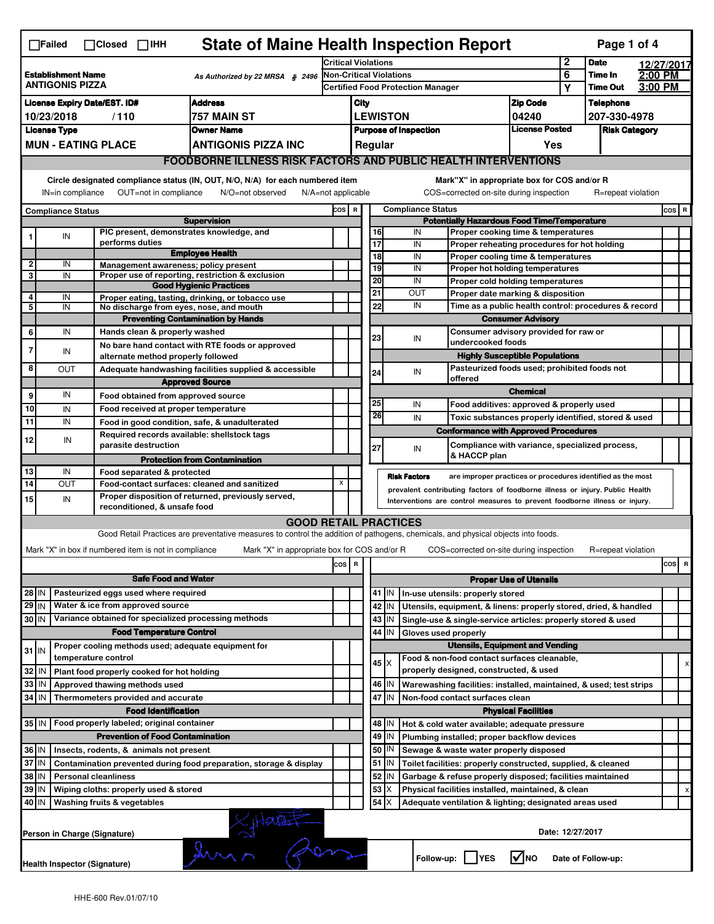| <b>State of Maine Health Inspection Report</b><br>Page 1 of 4<br>$\Box$ Failed<br>$\Box$ Closed $\Box$ IHH                                                                                                                                                                                |                                                                                                      |  |                                                       |                                                                                                                                   |                                                                              |                                                                                   |                                                             |           |                                                                                    |                                                                    |                                      |                            |                    |         |   |  |  |
|-------------------------------------------------------------------------------------------------------------------------------------------------------------------------------------------------------------------------------------------------------------------------------------------|------------------------------------------------------------------------------------------------------|--|-------------------------------------------------------|-----------------------------------------------------------------------------------------------------------------------------------|------------------------------------------------------------------------------|-----------------------------------------------------------------------------------|-------------------------------------------------------------|-----------|------------------------------------------------------------------------------------|--------------------------------------------------------------------|--------------------------------------|----------------------------|--------------------|---------|---|--|--|
|                                                                                                                                                                                                                                                                                           |                                                                                                      |  |                                                       |                                                                                                                                   |                                                                              | <b>Critical Violations</b>                                                        |                                                             |           |                                                                                    |                                                                    |                                      | <b>Date</b>                | 12/27/2017         |         |   |  |  |
| <b>Establishment Name</b><br>As Authorized by 22 MRSA § 2496<br>ANTIGONIS PIZZA                                                                                                                                                                                                           |                                                                                                      |  |                                                       |                                                                                                                                   |                                                                              | <b>Non-Critical Violations</b><br><b>Certified Food Protection Manager</b>        |                                                             |           |                                                                                    |                                                                    |                                      | Time In<br><b>Time Out</b> | 2:00 PM<br>3:00 PM |         |   |  |  |
|                                                                                                                                                                                                                                                                                           |                                                                                                      |  |                                                       |                                                                                                                                   |                                                                              |                                                                                   |                                                             |           |                                                                                    |                                                                    | Y                                    |                            |                    |         |   |  |  |
|                                                                                                                                                                                                                                                                                           | <b>Address</b><br><b>License Expiry Date/EST. ID#</b><br>757 MAIN ST<br>10/23/2018                   |  |                                                       |                                                                                                                                   |                                                                              |                                                                                   | <b>Zip Code</b><br>City                                     |           |                                                                                    |                                                                    |                                      | <b>Telephone</b>           |                    |         |   |  |  |
|                                                                                                                                                                                                                                                                                           | /110                                                                                                 |  |                                                       |                                                                                                                                   |                                                                              | <b>LEWISTON</b><br>04240<br><b>License Posted</b><br><b>Purpose of Inspection</b> |                                                             |           |                                                                                    |                                                                    | 207-330-4978<br><b>Risk Category</b> |                            |                    |         |   |  |  |
|                                                                                                                                                                                                                                                                                           | <b>License Type</b><br>Owner Name                                                                    |  |                                                       |                                                                                                                                   |                                                                              |                                                                                   |                                                             |           |                                                                                    | Yes                                                                |                                      |                            |                    |         |   |  |  |
|                                                                                                                                                                                                                                                                                           | <b>MUN - EATING PLACE</b><br><b>ANTIGONIS PIZZA INC</b>                                              |  |                                                       |                                                                                                                                   |                                                                              |                                                                                   |                                                             | Regular   |                                                                                    |                                                                    |                                      |                            |                    |         |   |  |  |
|                                                                                                                                                                                                                                                                                           |                                                                                                      |  |                                                       | <b>FOODBORNE ILLNESS RISK FACTORS AND PUBLIC HEALTH INTERVENTIONS</b>                                                             |                                                                              |                                                                                   |                                                             |           |                                                                                    |                                                                    |                                      |                            |                    |         |   |  |  |
| Circle designated compliance status (IN, OUT, N/O, N/A) for each numbered item<br>Mark"X" in appropriate box for COS and/or R<br>OUT=not in compliance<br>N/O=not observed<br>COS=corrected on-site during inspection<br>IN=in compliance<br>$N/A = not$ applicable<br>R=repeat violation |                                                                                                      |  |                                                       |                                                                                                                                   |                                                                              |                                                                                   |                                                             |           |                                                                                    |                                                                    |                                      |                            |                    |         |   |  |  |
|                                                                                                                                                                                                                                                                                           | <b>Compliance Status</b>                                                                             |  |                                                       |                                                                                                                                   |                                                                              |                                                                                   |                                                             |           | <b>Compliance Status</b>                                                           |                                                                    |                                      |                            |                    | $cos$ R |   |  |  |
|                                                                                                                                                                                                                                                                                           |                                                                                                      |  |                                                       | <b>Supervision</b>                                                                                                                |                                                                              |                                                                                   | COS R<br><b>Potentially Hazardous Food Time/Temperature</b> |           |                                                                                    |                                                                    |                                      |                            |                    |         |   |  |  |
| 1                                                                                                                                                                                                                                                                                         | IN                                                                                                   |  | PIC present, demonstrates knowledge, and              |                                                                                                                                   |                                                                              |                                                                                   | 16                                                          |           | IN<br>Proper cooking time & temperatures                                           |                                                                    |                                      |                            |                    |         |   |  |  |
|                                                                                                                                                                                                                                                                                           |                                                                                                      |  | performs duties                                       | <b>Employee Health</b>                                                                                                            |                                                                              |                                                                                   | 17<br>18                                                    |           | IN<br>Proper reheating procedures for hot holding<br>IN                            |                                                                    |                                      |                            |                    |         |   |  |  |
| 2                                                                                                                                                                                                                                                                                         | IN                                                                                                   |  | Management awareness; policy present                  |                                                                                                                                   |                                                                              |                                                                                   | 19                                                          |           | Proper cooling time & temperatures<br>IN<br>Proper hot holding temperatures        |                                                                    |                                      |                            |                    |         |   |  |  |
| 3                                                                                                                                                                                                                                                                                         | IN                                                                                                   |  |                                                       | Proper use of reporting, restriction & exclusion                                                                                  |                                                                              |                                                                                   | 20                                                          |           | IN                                                                                 | Proper cold holding temperatures                                   |                                      |                            |                    |         |   |  |  |
|                                                                                                                                                                                                                                                                                           |                                                                                                      |  |                                                       | <b>Good Hygienic Practices</b>                                                                                                    |                                                                              |                                                                                   | 21                                                          |           | OUT                                                                                | Proper date marking & disposition                                  |                                      |                            |                    |         |   |  |  |
| 4<br>5                                                                                                                                                                                                                                                                                    | IN<br>IN                                                                                             |  | No discharge from eyes, nose, and mouth               | Proper eating, tasting, drinking, or tobacco use                                                                                  |                                                                              |                                                                                   | 22                                                          |           | IN                                                                                 | Time as a public health control: procedures & record               |                                      |                            |                    |         |   |  |  |
|                                                                                                                                                                                                                                                                                           |                                                                                                      |  |                                                       | <b>Preventing Contamination by Hands</b>                                                                                          |                                                                              |                                                                                   |                                                             |           |                                                                                    | <b>Consumer Advisory</b>                                           |                                      |                            |                    |         |   |  |  |
| 6                                                                                                                                                                                                                                                                                         | IN                                                                                                   |  | Hands clean & properly washed                         |                                                                                                                                   |                                                                              |                                                                                   |                                                             |           |                                                                                    | Consumer advisory provided for raw or                              |                                      |                            |                    |         |   |  |  |
|                                                                                                                                                                                                                                                                                           |                                                                                                      |  |                                                       | No bare hand contact with RTE foods or approved                                                                                   |                                                                              |                                                                                   |                                                             | 23        | IN                                                                                 | undercooked foods                                                  |                                      |                            |                    |         |   |  |  |
| 7                                                                                                                                                                                                                                                                                         | IN                                                                                                   |  | alternate method properly followed                    |                                                                                                                                   |                                                                              |                                                                                   |                                                             |           |                                                                                    | <b>Highly Susceptible Populations</b>                              |                                      |                            |                    |         |   |  |  |
| 8                                                                                                                                                                                                                                                                                         | <b>OUT</b>                                                                                           |  |                                                       | Adequate handwashing facilities supplied & accessible                                                                             |                                                                              |                                                                                   | 24                                                          |           | IN                                                                                 | Pasteurized foods used; prohibited foods not                       |                                      |                            |                    |         |   |  |  |
|                                                                                                                                                                                                                                                                                           |                                                                                                      |  |                                                       | <b>Approved Source</b>                                                                                                            |                                                                              |                                                                                   |                                                             |           | offered                                                                            |                                                                    |                                      |                            |                    |         |   |  |  |
| 9 <sup>1</sup>                                                                                                                                                                                                                                                                            | IN                                                                                                   |  | Food obtained from approved source                    |                                                                                                                                   |                                                                              |                                                                                   | 25                                                          |           | IN                                                                                 | <b>Chemical</b>                                                    |                                      |                            |                    |         |   |  |  |
| 10                                                                                                                                                                                                                                                                                        | IN                                                                                                   |  | Food received at proper temperature                   |                                                                                                                                   |                                                                              |                                                                                   | 26                                                          |           |                                                                                    | Food additives: approved & properly used                           |                                      |                            |                    |         |   |  |  |
| 11                                                                                                                                                                                                                                                                                        | IN                                                                                                   |  | Food in good condition, safe, & unadulterated         |                                                                                                                                   |                                                                              |                                                                                   |                                                             |           | IN<br>Toxic substances properly identified, stored & used                          |                                                                    |                                      |                            |                    |         |   |  |  |
| 12                                                                                                                                                                                                                                                                                        | IN                                                                                                   |  | Required records available: shellstock tags           |                                                                                                                                   |                                                                              |                                                                                   |                                                             |           | <b>Conformance with Approved Procedures</b>                                        |                                                                    |                                      |                            |                    |         |   |  |  |
|                                                                                                                                                                                                                                                                                           |                                                                                                      |  | parasite destruction                                  |                                                                                                                                   |                                                                              |                                                                                   | 27                                                          |           | IN<br>& HACCP plan                                                                 | Compliance with variance, specialized process,                     |                                      |                            |                    |         |   |  |  |
| 13                                                                                                                                                                                                                                                                                        | IN                                                                                                   |  | Food separated & protected                            | <b>Protection from Contamination</b>                                                                                              |                                                                              |                                                                                   |                                                             |           |                                                                                    |                                                                    |                                      |                            |                    |         |   |  |  |
| 14                                                                                                                                                                                                                                                                                        | OUT                                                                                                  |  | Food-contact surfaces: cleaned and sanitized          |                                                                                                                                   | X                                                                            |                                                                                   |                                                             |           | <b>Risk Factors</b><br>are improper practices or procedures identified as the most |                                                                    |                                      |                            |                    |         |   |  |  |
| 15                                                                                                                                                                                                                                                                                        | IN                                                                                                   |  |                                                       | Proper disposition of returned, previously served,                                                                                | prevalent contributing factors of foodborne illness or injury. Public Health |                                                                                   |                                                             |           |                                                                                    |                                                                    |                                      |                            |                    |         |   |  |  |
|                                                                                                                                                                                                                                                                                           |                                                                                                      |  | reconditioned, & unsafe food                          |                                                                                                                                   |                                                                              |                                                                                   |                                                             |           | Interventions are control measures to prevent foodborne illness or injury.         |                                                                    |                                      |                            |                    |         |   |  |  |
|                                                                                                                                                                                                                                                                                           |                                                                                                      |  |                                                       |                                                                                                                                   | <b>GOOD RETAIL PRACTICES</b>                                                 |                                                                                   |                                                             |           |                                                                                    |                                                                    |                                      |                            |                    |         |   |  |  |
|                                                                                                                                                                                                                                                                                           |                                                                                                      |  |                                                       | Good Retail Practices are preventative measures to control the addition of pathogens, chemicals, and physical objects into foods. |                                                                              |                                                                                   |                                                             |           |                                                                                    |                                                                    |                                      |                            |                    |         |   |  |  |
|                                                                                                                                                                                                                                                                                           |                                                                                                      |  | Mark "X" in box if numbered item is not in compliance | Mark "X" in appropriate box for COS and/or R                                                                                      |                                                                              |                                                                                   |                                                             |           | COS=corrected on-site during inspection                                            |                                                                    |                                      | R=repeat violation         |                    |         |   |  |  |
|                                                                                                                                                                                                                                                                                           |                                                                                                      |  |                                                       |                                                                                                                                   | $cos$ R                                                                      |                                                                                   |                                                             |           |                                                                                    |                                                                    |                                      |                            |                    | cos     | R |  |  |
|                                                                                                                                                                                                                                                                                           | <b>Safe Food and Water</b>                                                                           |  |                                                       |                                                                                                                                   |                                                                              |                                                                                   |                                                             |           |                                                                                    | <b>Proper Use of Utensils</b>                                      |                                      |                            |                    |         |   |  |  |
|                                                                                                                                                                                                                                                                                           | Pasteurized eggs used where required<br>28 IN                                                        |  |                                                       |                                                                                                                                   |                                                                              |                                                                                   |                                                             | 41   IN   | In-use utensils: properly stored                                                   |                                                                    |                                      |                            |                    |         |   |  |  |
| 29 IN                                                                                                                                                                                                                                                                                     |                                                                                                      |  | Water & ice from approved source                      |                                                                                                                                   |                                                                              |                                                                                   |                                                             | 42 IN     | Utensils, equipment, & linens: properly stored, dried, & handled                   |                                                                    |                                      |                            |                    |         |   |  |  |
| 30 IN                                                                                                                                                                                                                                                                                     |                                                                                                      |  | Variance obtained for specialized processing methods  |                                                                                                                                   |                                                                              |                                                                                   |                                                             | $43$   IN | Single-use & single-service articles: properly stored & used                       |                                                                    |                                      |                            |                    |         |   |  |  |
|                                                                                                                                                                                                                                                                                           |                                                                                                      |  | <b>Food Temperature Control</b>                       |                                                                                                                                   |                                                                              |                                                                                   |                                                             | 44<br>IN  | Gloves used properly                                                               |                                                                    |                                      |                            |                    |         |   |  |  |
| $31$ IN                                                                                                                                                                                                                                                                                   |                                                                                                      |  | Proper cooling methods used; adequate equipment for   |                                                                                                                                   |                                                                              |                                                                                   |                                                             |           | <b>Utensils, Equipment and Vending</b>                                             |                                                                    |                                      |                            |                    |         |   |  |  |
|                                                                                                                                                                                                                                                                                           |                                                                                                      |  | temperature control                                   |                                                                                                                                   |                                                                              |                                                                                   |                                                             | 45   X    | Food & non-food contact surfaces cleanable,                                        |                                                                    |                                      |                            |                    |         | х |  |  |
| 32   IN                                                                                                                                                                                                                                                                                   |                                                                                                      |  | Plant food properly cooked for hot holding            |                                                                                                                                   |                                                                              |                                                                                   |                                                             |           | properly designed, constructed, & used                                             |                                                                    |                                      |                            |                    |         |   |  |  |
| 33   IN                                                                                                                                                                                                                                                                                   |                                                                                                      |  | Approved thawing methods used                         |                                                                                                                                   |                                                                              |                                                                                   |                                                             | 46 IN     |                                                                                    | Warewashing facilities: installed, maintained, & used; test strips |                                      |                            |                    |         |   |  |  |
| 34 IN                                                                                                                                                                                                                                                                                     |                                                                                                      |  | Thermometers provided and accurate                    |                                                                                                                                   |                                                                              |                                                                                   |                                                             | 47 IN     | Non-food contact surfaces clean                                                    |                                                                    |                                      |                            |                    |         |   |  |  |
|                                                                                                                                                                                                                                                                                           |                                                                                                      |  | <b>Food Identification</b>                            |                                                                                                                                   |                                                                              |                                                                                   |                                                             |           |                                                                                    | <b>Physical Facilities</b>                                         |                                      |                            |                    |         |   |  |  |
|                                                                                                                                                                                                                                                                                           |                                                                                                      |  | 35 IN   Food properly labeled; original container     |                                                                                                                                   |                                                                              |                                                                                   |                                                             | 48   IN   | Hot & cold water available; adequate pressure                                      |                                                                    |                                      |                            |                    |         |   |  |  |
|                                                                                                                                                                                                                                                                                           |                                                                                                      |  | <b>Prevention of Food Contamination</b>               |                                                                                                                                   |                                                                              |                                                                                   | 49                                                          | IN        | Plumbing installed; proper backflow devices                                        |                                                                    |                                      |                            |                    |         |   |  |  |
|                                                                                                                                                                                                                                                                                           | 36 IN<br>Insects, rodents, & animals not present                                                     |  |                                                       |                                                                                                                                   |                                                                              |                                                                                   |                                                             | 50<br> IN | Sewage & waste water properly disposed                                             |                                                                    |                                      |                            |                    |         |   |  |  |
|                                                                                                                                                                                                                                                                                           | 37 IN<br>Contamination prevented during food preparation, storage & display                          |  |                                                       |                                                                                                                                   |                                                                              |                                                                                   |                                                             | 51 J IN   | Toilet facilities: properly constructed, supplied, & cleaned                       |                                                                    |                                      |                            |                    |         |   |  |  |
| 38   IN<br><b>Personal cleanliness</b>                                                                                                                                                                                                                                                    |                                                                                                      |  |                                                       |                                                                                                                                   |                                                                              |                                                                                   |                                                             | 52 <br>IN | Garbage & refuse properly disposed; facilities maintained                          |                                                                    |                                      |                            |                    |         |   |  |  |
|                                                                                                                                                                                                                                                                                           | 39 IN<br>Wiping cloths: properly used & stored                                                       |  |                                                       |                                                                                                                                   |                                                                              |                                                                                   | 53                                                          | х         | Physical facilities installed, maintained, & clean                                 |                                                                    |                                      |                            |                    |         |   |  |  |
|                                                                                                                                                                                                                                                                                           | 54<br>40 IN<br>Washing fruits & vegetables<br>Adequate ventilation & lighting; designated areas used |  |                                                       |                                                                                                                                   |                                                                              |                                                                                   |                                                             |           |                                                                                    |                                                                    |                                      |                            |                    |         |   |  |  |
|                                                                                                                                                                                                                                                                                           | $\mu$<br>Date: 12/27/2017<br>Person in Charge (Signature)                                            |  |                                                       |                                                                                                                                   |                                                                              |                                                                                   |                                                             |           |                                                                                    |                                                                    |                                      |                            |                    |         |   |  |  |
|                                                                                                                                                                                                                                                                                           | $\sqrt{\ }$ NO<br>Follow-up:     YES<br>Date of Follow-up:<br>Health Inspector (Signature)           |  |                                                       |                                                                                                                                   |                                                                              |                                                                                   |                                                             |           |                                                                                    |                                                                    |                                      |                            |                    |         |   |  |  |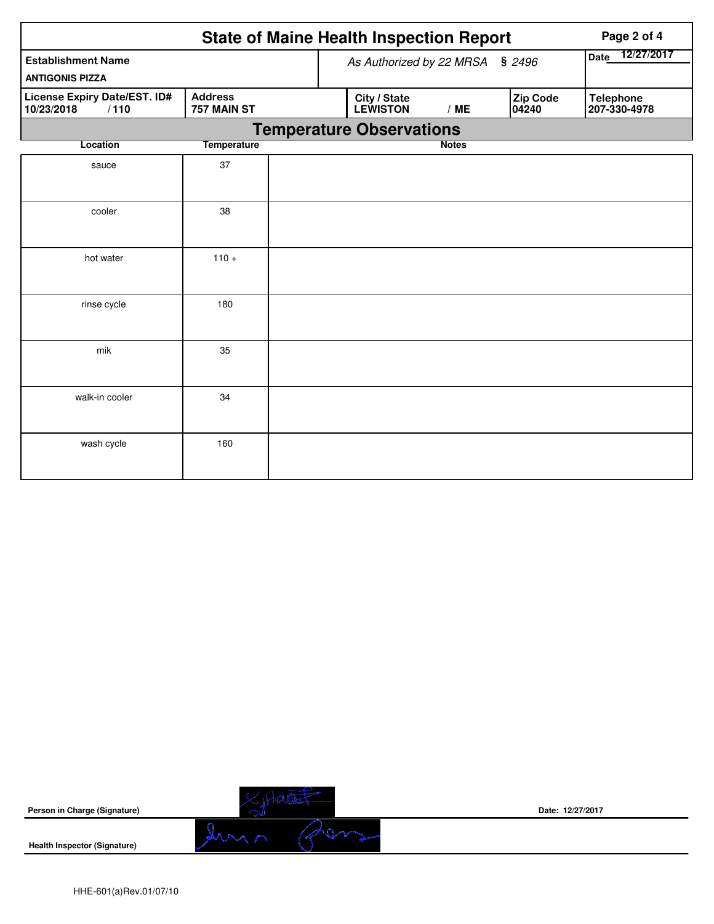|                                                     |                               | <b>State of Maine Health Inspection Report</b> | Page 2 of 4  |                   |                                  |
|-----------------------------------------------------|-------------------------------|------------------------------------------------|--------------|-------------------|----------------------------------|
| <b>Establishment Name</b><br><b>ANTIGONIS PIZZA</b> | As Authorized by 22 MRSA      | Date 12/27/2017                                |              |                   |                                  |
| License Expiry Date/EST. ID#<br>/110<br>10/23/2018  | <b>Address</b><br>757 MAIN ST | City / State<br><b>LEWISTON</b>                | /ME          | Zip Code<br>04240 | <b>Telephone</b><br>207-330-4978 |
|                                                     |                               | <b>Temperature Observations</b>                |              |                   |                                  |
| Location                                            | <b>Temperature</b>            |                                                | <b>Notes</b> |                   |                                  |
| sauce                                               | 37                            |                                                |              |                   |                                  |
| cooler                                              | 38                            |                                                |              |                   |                                  |
| hot water                                           | $110 +$                       |                                                |              |                   |                                  |
| rinse cycle                                         | 180                           |                                                |              |                   |                                  |
| mik                                                 | 35                            |                                                |              |                   |                                  |
| walk-in cooler                                      | 34                            |                                                |              |                   |                                  |
| wash cycle                                          | 160                           |                                                |              |                   |                                  |

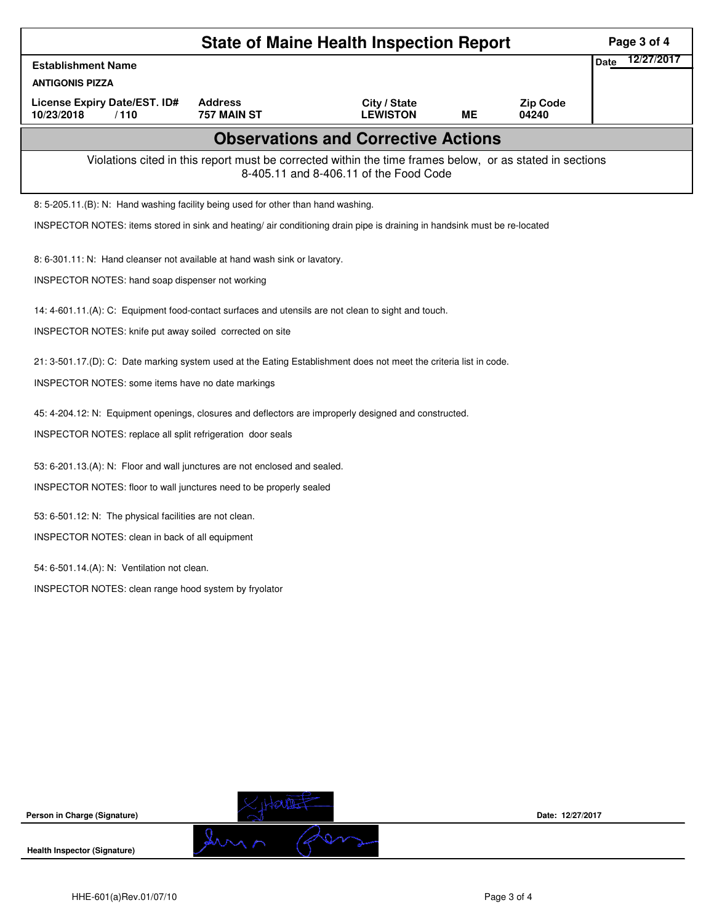|                                                                                                                    |                                                                                                                           | Page 3 of 4                                                                                                                                        |           |                          |      |            |  |  |  |  |
|--------------------------------------------------------------------------------------------------------------------|---------------------------------------------------------------------------------------------------------------------------|----------------------------------------------------------------------------------------------------------------------------------------------------|-----------|--------------------------|------|------------|--|--|--|--|
| <b>Establishment Name</b>                                                                                          |                                                                                                                           |                                                                                                                                                    |           |                          | Date | 12/27/2017 |  |  |  |  |
| <b>ANTIGONIS PIZZA</b>                                                                                             |                                                                                                                           |                                                                                                                                                    |           |                          |      |            |  |  |  |  |
| License Expiry Date/EST. ID#<br>10/23/2018<br>/110                                                                 | <b>Address</b><br>757 MAIN ST                                                                                             | City / State<br><b>LEWISTON</b>                                                                                                                    | <b>ME</b> | <b>Zip Code</b><br>04240 |      |            |  |  |  |  |
|                                                                                                                    |                                                                                                                           | <b>Observations and Corrective Actions</b>                                                                                                         |           |                          |      |            |  |  |  |  |
|                                                                                                                    |                                                                                                                           | Violations cited in this report must be corrected within the time frames below, or as stated in sections<br>8-405.11 and 8-406.11 of the Food Code |           |                          |      |            |  |  |  |  |
| 8: 5-205.11.(B): N: Hand washing facility being used for other than hand washing.                                  |                                                                                                                           |                                                                                                                                                    |           |                          |      |            |  |  |  |  |
|                                                                                                                    | INSPECTOR NOTES: items stored in sink and heating/ air conditioning drain pipe is draining in handsink must be re-located |                                                                                                                                                    |           |                          |      |            |  |  |  |  |
| 8: 6-301.11: N: Hand cleanser not available at hand wash sink or lavatory.                                         |                                                                                                                           |                                                                                                                                                    |           |                          |      |            |  |  |  |  |
| INSPECTOR NOTES: hand soap dispenser not working                                                                   |                                                                                                                           |                                                                                                                                                    |           |                          |      |            |  |  |  |  |
| 14: 4-601.11.(A): C: Equipment food-contact surfaces and utensils are not clean to sight and touch.                |                                                                                                                           |                                                                                                                                                    |           |                          |      |            |  |  |  |  |
| INSPECTOR NOTES: knife put away soiled corrected on site                                                           |                                                                                                                           |                                                                                                                                                    |           |                          |      |            |  |  |  |  |
| 21: 3-501.17.(D): C: Date marking system used at the Eating Establishment does not meet the criteria list in code. |                                                                                                                           |                                                                                                                                                    |           |                          |      |            |  |  |  |  |
| INSPECTOR NOTES: some items have no date markings                                                                  |                                                                                                                           |                                                                                                                                                    |           |                          |      |            |  |  |  |  |
| 45: 4-204.12: N: Equipment openings, closures and deflectors are improperly designed and constructed.              |                                                                                                                           |                                                                                                                                                    |           |                          |      |            |  |  |  |  |
| INSPECTOR NOTES: replace all split refrigeration door seals                                                        |                                                                                                                           |                                                                                                                                                    |           |                          |      |            |  |  |  |  |
| 53: 6-201.13.(A): N: Floor and wall junctures are not enclosed and sealed.                                         |                                                                                                                           |                                                                                                                                                    |           |                          |      |            |  |  |  |  |
| INSPECTOR NOTES: floor to wall junctures need to be properly sealed                                                |                                                                                                                           |                                                                                                                                                    |           |                          |      |            |  |  |  |  |
| 53: 6-501.12: N: The physical facilities are not clean.                                                            |                                                                                                                           |                                                                                                                                                    |           |                          |      |            |  |  |  |  |
| INSPECTOR NOTES: clean in back of all equipment                                                                    |                                                                                                                           |                                                                                                                                                    |           |                          |      |            |  |  |  |  |
| 54: 6-501.14.(A): N: Ventilation not clean.                                                                        |                                                                                                                           |                                                                                                                                                    |           |                          |      |            |  |  |  |  |
| INSPECTOR NOTES: clean range hood system by fryolator                                                              |                                                                                                                           |                                                                                                                                                    |           |                          |      |            |  |  |  |  |
|                                                                                                                    |                                                                                                                           |                                                                                                                                                    |           |                          |      |            |  |  |  |  |
|                                                                                                                    |                                                                                                                           |                                                                                                                                                    |           |                          |      |            |  |  |  |  |
|                                                                                                                    |                                                                                                                           |                                                                                                                                                    |           |                          |      |            |  |  |  |  |
|                                                                                                                    |                                                                                                                           |                                                                                                                                                    |           |                          |      |            |  |  |  |  |
|                                                                                                                    |                                                                                                                           |                                                                                                                                                    |           |                          |      |            |  |  |  |  |
|                                                                                                                    |                                                                                                                           |                                                                                                                                                    |           |                          |      |            |  |  |  |  |
|                                                                                                                    |                                                                                                                           |                                                                                                                                                    |           |                          |      |            |  |  |  |  |